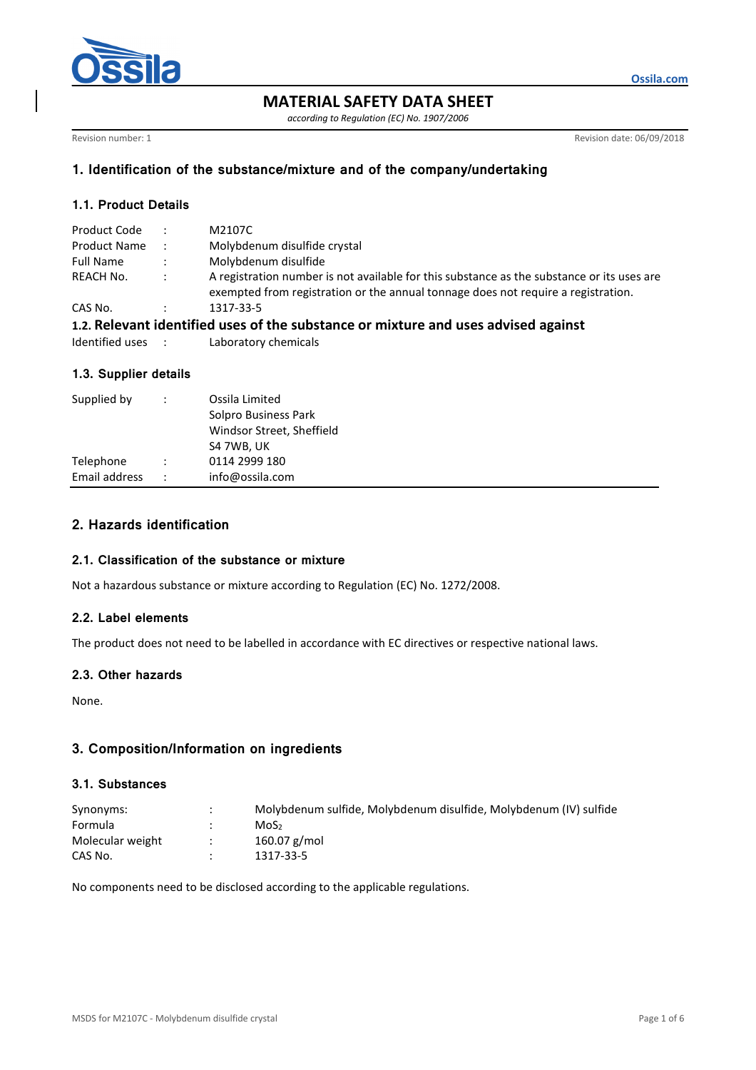

**MATERIAL SAFETY DATA SHEET** 

*according to Regulation (EC) No. 1907/2006* 

Revision number: 1 Revision date: 06/09/2018

**Ossila.com**

# **1. Identification of the substance/mixture and of the company/undertaking**

# **1.1. Product Details**

| Product Code                                                                       |                   | M2107C                                                                                                                                                                          |  |  |
|------------------------------------------------------------------------------------|-------------------|---------------------------------------------------------------------------------------------------------------------------------------------------------------------------------|--|--|
| <b>Product Name</b>                                                                | $-1.1$            | Molybdenum disulfide crystal                                                                                                                                                    |  |  |
| <b>Full Name</b>                                                                   | $\sim$ 100 $\sim$ | Molybdenum disulfide                                                                                                                                                            |  |  |
| REACH No.                                                                          | $\mathbb{R}^n$    | A registration number is not available for this substance as the substance or its uses are<br>exempted from registration or the annual tonnage does not require a registration. |  |  |
| CAS No.                                                                            |                   | 1317-33-5                                                                                                                                                                       |  |  |
| 1.2. Relevant identified uses of the substance or mixture and uses advised against |                   |                                                                                                                                                                                 |  |  |

| Laboratory chemicals |
|----------------------|

### **1.3. Supplier details**

| Supplied by                | Ossila Limited<br>Solpro Business Park<br>Windsor Street, Sheffield<br>S4 7WB, UK |
|----------------------------|-----------------------------------------------------------------------------------|
| Telephone<br>Email address | 0114 2999 180<br>info@ossila.com                                                  |

# **2. Hazards identification**

### **2.1. Classification of the substance or mixture**

Not a hazardous substance or mixture according to Regulation (EC) No. 1272/2008.

### **2.2. Label elements**

The product does not need to be labelled in accordance with EC directives or respective national laws.

### **2.3. Other hazards**

None.

# **3. Composition/Information on ingredients**

### **3.1. Substances**

| Synonyms:        | Molybdenum sulfide, Molybdenum disulfide, Molybdenum (IV) sulfide |
|------------------|-------------------------------------------------------------------|
| Formula          | MoS <sub>2</sub>                                                  |
| Molecular weight | $160.07$ g/mol                                                    |
| CAS No.          | 1317-33-5                                                         |

No components need to be disclosed according to the applicable regulations.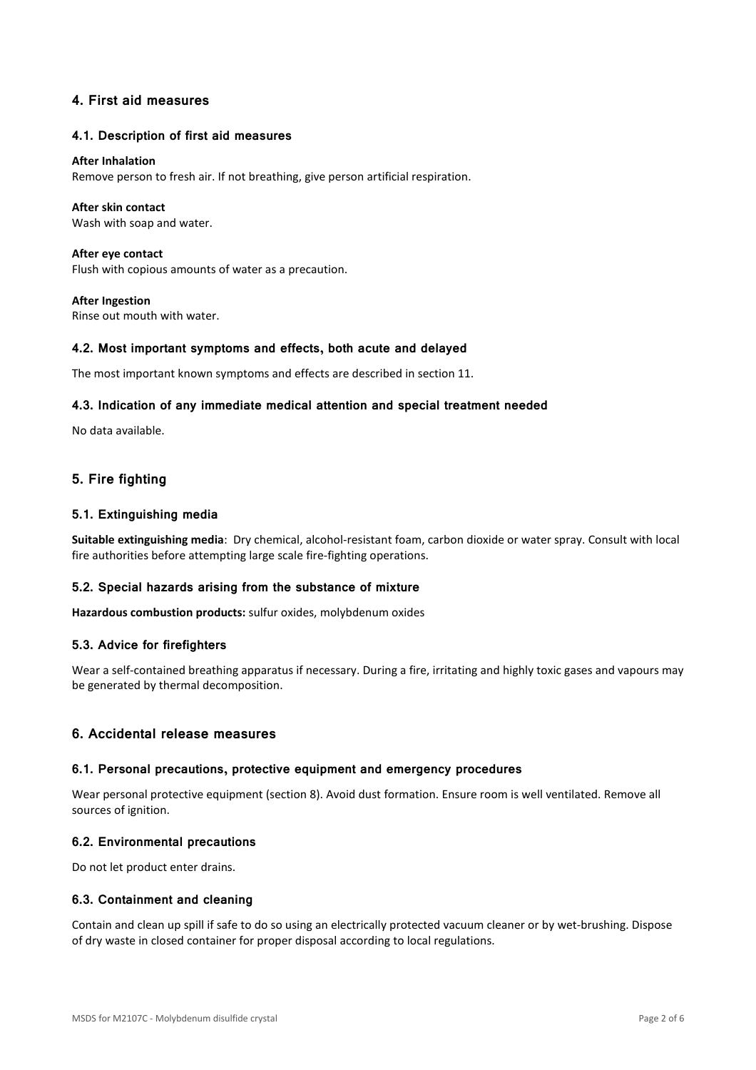# **4. First aid measures**

### **4.1. Description of first aid measures**

#### **After Inhalation**

Remove person to fresh air. If not breathing, give person artificial respiration.

#### **After skin contact**

Wash with soap and water.

**After eye contact**  Flush with copious amounts of water as a precaution.

**After Ingestion**  Rinse out mouth with water.

#### **4.2. Most important symptoms and effects, both acute and delayed**

The most important known symptoms and effects are described in section 11.

### **4.3. Indication of any immediate medical attention and special treatment needed**

No data available.

# **5. Fire fighting**

### **5.1. Extinguishing media**

**Suitable extinguishing media**: Dry chemical, alcohol-resistant foam, carbon dioxide or water spray. Consult with local fire authorities before attempting large scale fire-fighting operations.

### **5.2. Special hazards arising from the substance of mixture**

**Hazardous combustion products:** sulfur oxides, molybdenum oxides

#### **5.3. Advice for firefighters**

Wear a self-contained breathing apparatus if necessary. During a fire, irritating and highly toxic gases and vapours may be generated by thermal decomposition.

### **6. Accidental release measures**

#### **6.1. Personal precautions, protective equipment and emergency procedures**

Wear personal protective equipment (section 8). Avoid dust formation. Ensure room is well ventilated. Remove all sources of ignition.

#### **6.2. Environmental precautions**

Do not let product enter drains.

### **6.3. Containment and cleaning**

Contain and clean up spill if safe to do so using an electrically protected vacuum cleaner or by wet-brushing. Dispose of dry waste in closed container for proper disposal according to local regulations.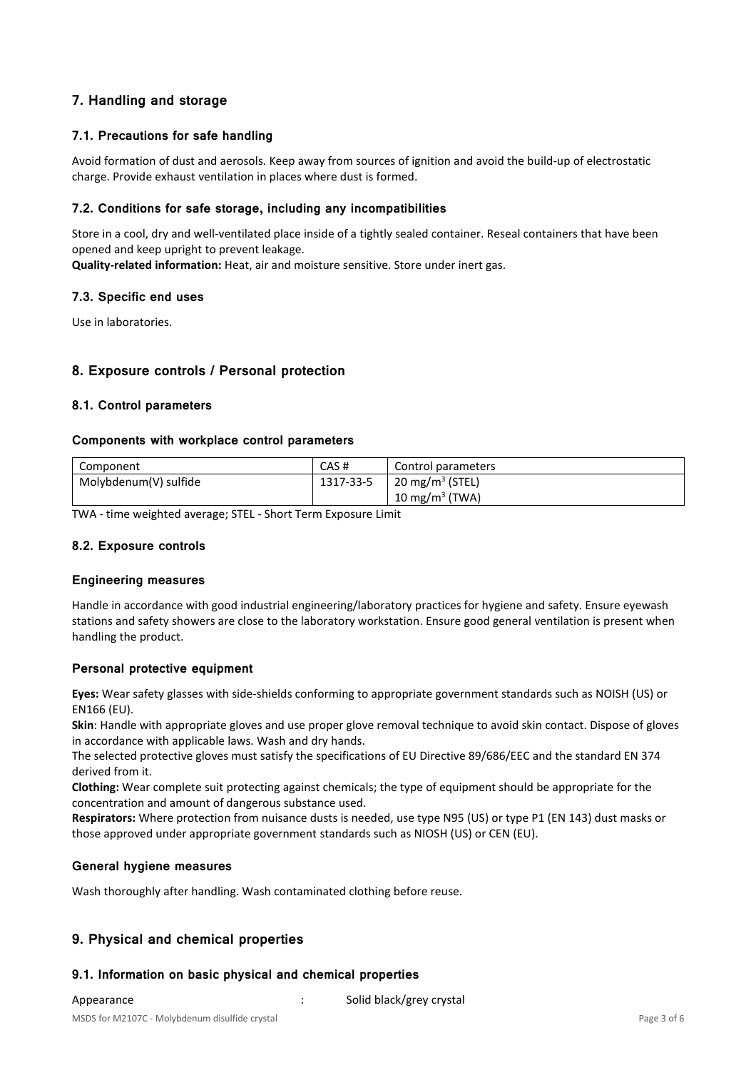# **7. Handling and storage**

# **7.1. Precautions for safe handling**

Avoid formation of dust and aerosols. Keep away from sources of ignition and avoid the build-up of electrostatic charge. Provide exhaust ventilation in places where dust is formed.

# **7.2. Conditions for safe storage, including any incompatibilities**

Store in a cool, dry and well-ventilated place inside of a tightly sealed container. Reseal containers that have been opened and keep upright to prevent leakage.

**Quality-related information:** Heat, air and moisture sensitive. Store under inert gas.

### **7.3. Specific end uses**

Use in laboratories.

# **8. Exposure controls / Personal protection**

### **8.1. Control parameters**

### **Components with workplace control parameters**

| Component             | CAS#      | Control parameters          |
|-----------------------|-----------|-----------------------------|
| Molybdenum(V) sulfide | 1317-33-5 | 20 mg/m <sup>3</sup> (STEL) |
|                       |           | 10 mg/m <sup>3</sup> (TWA)  |

TWA - time weighted average; STEL - Short Term Exposure Limit

### **8.2. Exposure controls**

### **Engineering measures**

Handle in accordance with good industrial engineering/laboratory practices for hygiene and safety. Ensure eyewash stations and safety showers are close to the laboratory workstation. Ensure good general ventilation is present when handling the product.

### **Personal protective equipment**

**Eyes:** Wear safety glasses with side-shields conforming to appropriate government standards such as NOISH (US) or EN166 (EU).

**Skin**: Handle with appropriate gloves and use proper glove removal technique to avoid skin contact. Dispose of gloves in accordance with applicable laws. Wash and dry hands.

The selected protective gloves must satisfy the specifications of EU Directive 89/686/EEC and the standard EN 374 derived from it.

**Clothing:** Wear complete suit protecting against chemicals; the type of equipment should be appropriate for the concentration and amount of dangerous substance used.

**Respirators:** Where protection from nuisance dusts is needed, use type N95 (US) or type P1 (EN 143) dust masks or those approved under appropriate government standards such as NIOSH (US) or CEN (EU).

### **General hygiene measures**

Wash thoroughly after handling. Wash contaminated clothing before reuse.

# **9. Physical and chemical properties**

### **9.1. Information on basic physical and chemical properties**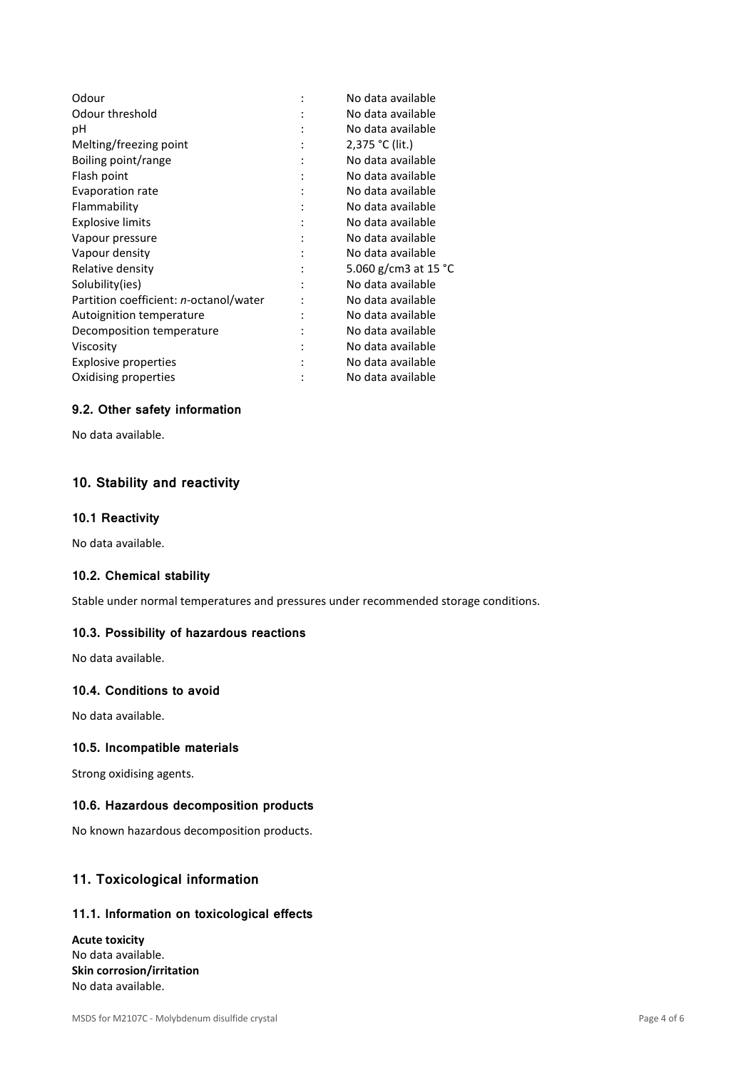| Odour                                  |           | No data available              |
|----------------------------------------|-----------|--------------------------------|
| Odour threshold                        |           | No data available              |
| рH                                     |           | No data available              |
| Melting/freezing point                 |           | 2,375 °C (lit.)                |
| Boiling point/range                    |           | No data available              |
| Flash point                            |           | No data available              |
| Evaporation rate                       |           | No data available              |
| Flammability                           |           | No data available              |
| <b>Explosive limits</b>                |           | No data available              |
| Vapour pressure                        |           | No data available              |
| Vapour density                         |           | No data available              |
| Relative density                       |           | 5.060 g/cm3 at 15 $^{\circ}$ C |
| Solubility(ies)                        |           | No data available              |
| Partition coefficient: n-octanol/water |           | No data available              |
| Autoignition temperature               | $\bullet$ | No data available              |
| Decomposition temperature              |           | No data available              |
| Viscosity                              |           | No data available              |
| Explosive properties                   |           | No data available              |
| Oxidising properties                   |           | No data available              |

# **9.2. Other safety information**

No data available.

# **10. Stability and reactivity**

### **10.1 Reactivity**

No data available.

# **10.2. Chemical stability**

Stable under normal temperatures and pressures under recommended storage conditions.

### **10.3. Possibility of hazardous reactions**

No data available.

# **10.4. Conditions to avoid**

No data available.

### **10.5. Incompatible materials**

Strong oxidising agents.

#### **10.6. Hazardous decomposition products**

No known hazardous decomposition products.

# **11. Toxicological information**

### **11.1. Information on toxicological effects**

**Acute toxicity**  No data available. **Skin corrosion/irritation**  No data available.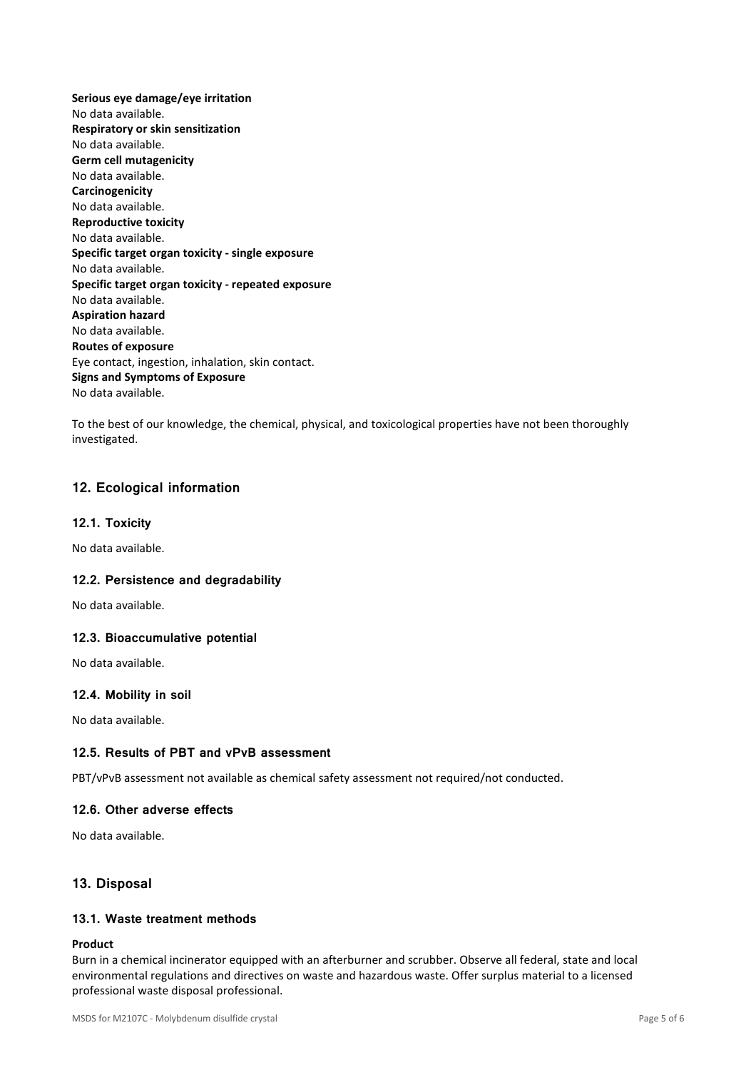**Serious eye damage/eye irritation**  No data available. **Respiratory or skin sensitization**  No data available. **Germ cell mutagenicity**  No data available. **Carcinogenicity**  No data available. **Reproductive toxicity**  No data available. **Specific target organ toxicity - single exposure**  No data available. **Specific target organ toxicity - repeated exposure**  No data available. **Aspiration hazard**  No data available. **Routes of exposure**  Eye contact, ingestion, inhalation, skin contact. **Signs and Symptoms of Exposure**  No data available.

To the best of our knowledge, the chemical, physical, and toxicological properties have not been thoroughly investigated.

# **12. Ecological information**

### **12.1. Toxicity**

No data available.

### **12.2. Persistence and degradability**

No data available.

### **12.3. Bioaccumulative potential**

No data available.

### **12.4. Mobility in soil**

No data available.

### **12.5. Results of PBT and vPvB assessment**

PBT/vPvB assessment not available as chemical safety assessment not required/not conducted.

### **12.6. Other adverse effects**

No data available.

# **13. Disposal**

# **13.1. Waste treatment methods**

#### **Product**

Burn in a chemical incinerator equipped with an afterburner and scrubber. Observe all federal, state and local environmental regulations and directives on waste and hazardous waste. Offer surplus material to a licensed professional waste disposal professional.